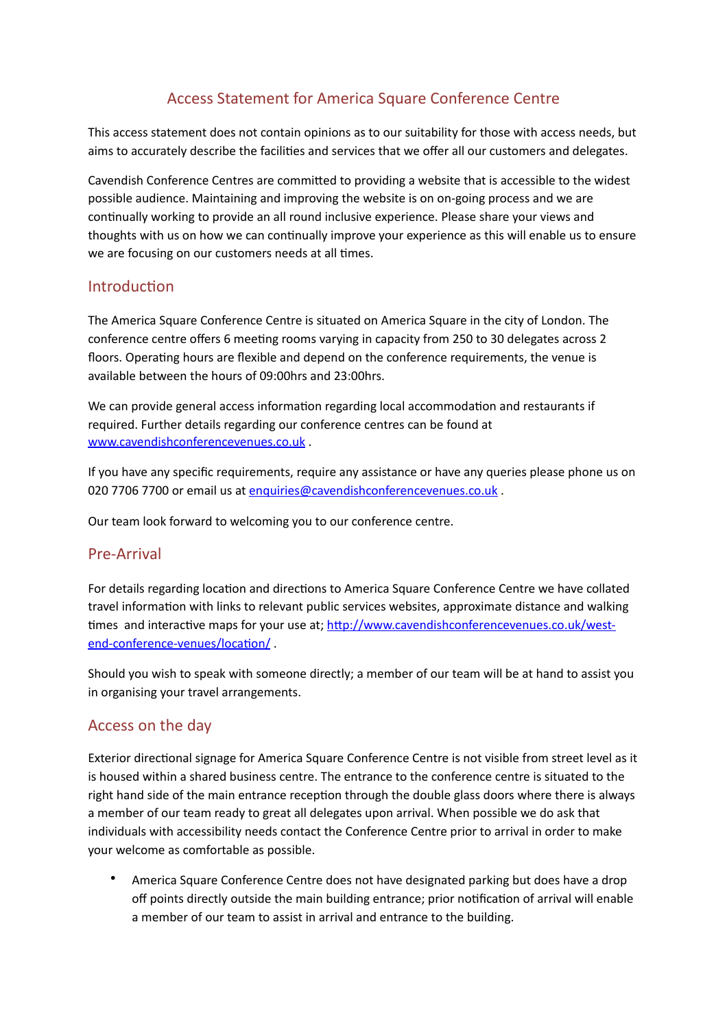# Access Statement for America Square Conference Centre

This access statement does not contain opinions as to our suitability for those with access needs, but aims to accurately describe the facilities and services that we offer all our customers and delegates.

Cavendish Conference Centres are committed to providing a website that is accessible to the widest possible audience. Maintaining and improving the website is on on-going process and we are continually working to provide an all round inclusive experience. Please share your views and thoughts with us on how we can continually improve your experience as this will enable us to ensure we are focusing on our customers needs at all times.

### Introduction

The America Square Conference Centre is situated on America Square in the city of London. The conference centre offers 6 meeting rooms varying in capacity from 250 to 30 delegates across 2 floors. Operating hours are flexible and depend on the conference requirements, the venue is available between the hours of 09:00hrs and 23:00hrs.

We can provide general access information regarding local accommodation and restaurants if required. Further details regarding our conference centres can be found at www.cavendishconferencevenues.co.uk.

If you have any specific requirements, require any assistance or have any queries please phone us on 020 7706 7700 or email us at [enquiries@cavendishconferencevenues.co.uk](mailto:enquiries@cavendishconferencevenues.co.uk).

Our team look forward to welcoming you to our conference centre.

### Pre-Arrival

For details regarding location and directions to America Square Conference Centre we have collated travel information with links to relevant public services websites, approximate distance and walking times and interactive maps for your use at; http://www.cavendishconferencevenues.co.uk/westend-conference-venues/location/

Should you wish to speak with someone directly; a member of our team will be at hand to assist you in organising your travel arrangements.

## Access on the day

Exterior directional signage for America Square Conference Centre is not visible from street level as it is housed within a shared business centre. The entrance to the conference centre is situated to the right hand side of the main entrance reception through the double glass doors where there is always a member of our team ready to great all delegates upon arrival. When possible we do ask that individuals with accessibility needs contact the Conference Centre prior to arrival in order to make your welcome as comfortable as possible.

America Square Conference Centre does not have designated parking but does have a drop off points directly outside the main building entrance; prior notification of arrival will enable a member of our team to assist in arrival and entrance to the building.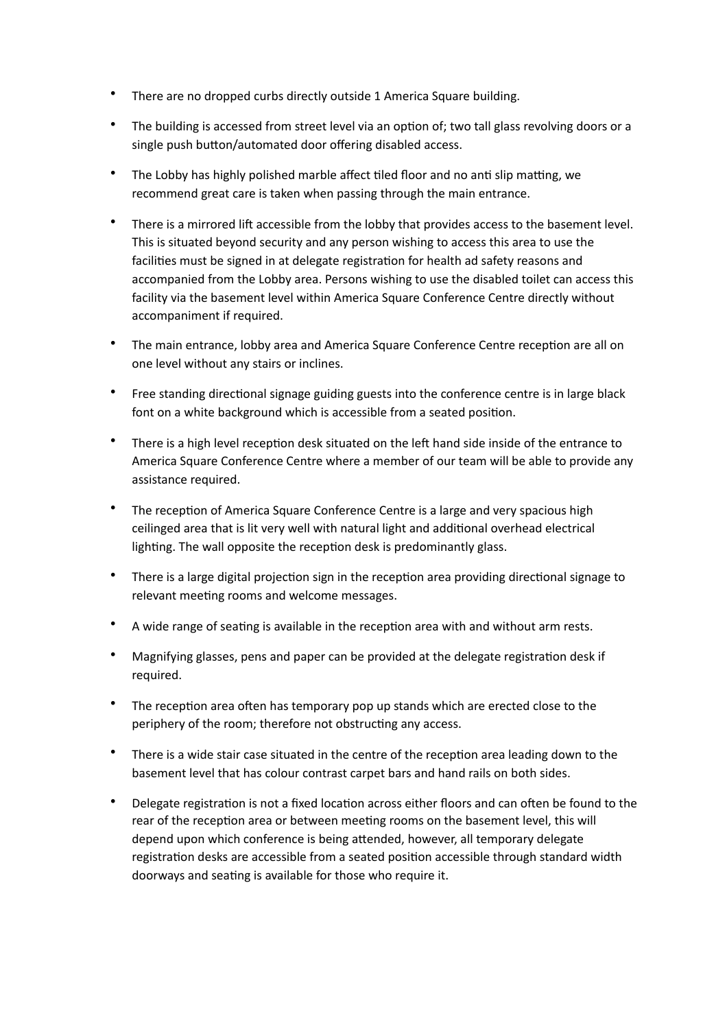- There are no dropped curbs directly outside 1 America Square building.
- The building is accessed from street level via an option of; two tall glass revolving doors or a single push button/automated door offering disabled access.
- The Lobby has highly polished marble affect tiled floor and no anti slip matting, we recommend great care is taken when passing through the main entrance.
- There is a mirrored lift accessible from the lobby that provides access to the basement level. This is situated beyond security and any person wishing to access this area to use the facilities must be signed in at delegate registration for health ad safety reasons and accompanied from the Lobby area. Persons wishing to use the disabled toilet can access this facility via the basement level within America Square Conference Centre directly without accompaniment if required.
- The main entrance, lobby area and America Square Conference Centre reception are all on one level without any stairs or inclines.
- Free standing directional signage guiding guests into the conference centre is in large black font on a white background which is accessible from a seated position.
- There is a high level reception desk situated on the left hand side inside of the entrance to America Square Conference Centre where a member of our team will be able to provide any assistance required.
- The reception of America Square Conference Centre is a large and very spacious high ceilinged area that is lit very well with natural light and additional overhead electrical lighting. The wall opposite the reception desk is predominantly glass.
- There is a large digital projection sign in the reception area providing directional signage to relevant meeting rooms and welcome messages.
- A wide range of seating is available in the reception area with and without arm rests.
- Magnifying glasses, pens and paper can be provided at the delegate registration desk if required.
- The reception area often has temporary pop up stands which are erected close to the periphery of the room; therefore not obstructing any access.
- There is a wide stair case situated in the centre of the reception area leading down to the basement level that has colour contrast carpet bars and hand rails on both sides.
- Delegate registration is not a fixed location across either floors and can often be found to the rear of the reception area or between meeting rooms on the basement level, this will depend upon which conference is being attended, however, all temporary delegate registration desks are accessible from a seated position accessible through standard width doorways and seating is available for those who require it.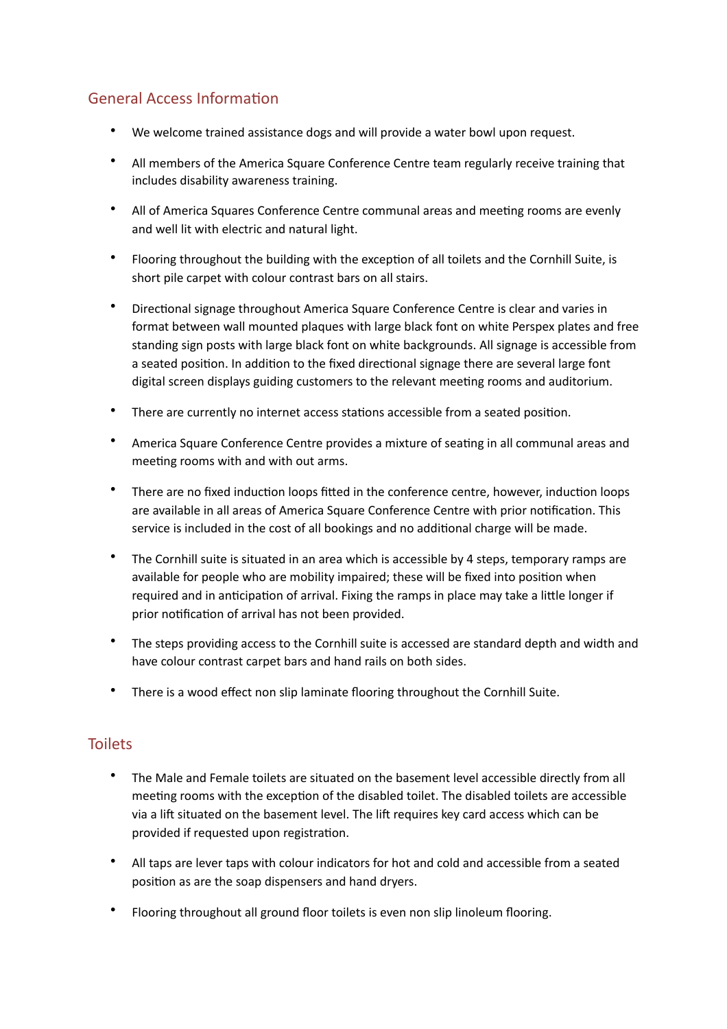# General Access Information

- We welcome trained assistance dogs and will provide a water bowl upon request.
- All members of the America Square Conference Centre team regularly receive training that includes disability awareness training.
- All of America Squares Conference Centre communal areas and meeting rooms are evenly and well lit with electric and natural light.
- Flooring throughout the building with the exception of all toilets and the Cornhill Suite, is short pile carpet with colour contrast bars on all stairs.
- Directional signage throughout America Square Conference Centre is clear and varies in format between wall mounted plaques with large black font on white Perspex plates and free standing sign posts with large black font on white backgrounds. All signage is accessible from a seated position. In addition to the fixed directional signage there are several large font digital screen displays guiding customers to the relevant meeting rooms and auditorium.
- There are currently no internet access stations accessible from a seated position.
- America Square Conference Centre provides a mixture of seating in all communal areas and meeting rooms with and with out arms.
- There are no fixed induction loops fitted in the conference centre, however, induction loops are available in all areas of America Square Conference Centre with prior notification. This service is included in the cost of all bookings and no additional charge will be made.
- The Cornhill suite is situated in an area which is accessible by 4 steps, temporary ramps are available for people who are mobility impaired; these will be fixed into position when required and in anticipation of arrival. Fixing the ramps in place may take a little longer if prior notification of arrival has not been provided.
- The steps providing access to the Cornhill suite is accessed are standard depth and width and have colour contrast carpet bars and hand rails on both sides.
- There is a wood effect non slip laminate flooring throughout the Cornhill Suite.

## **Toilets**

- The Male and Female toilets are situated on the basement level accessible directly from all meeting rooms with the exception of the disabled toilet. The disabled toilets are accessible via a lift situated on the basement level. The lift requires key card access which can be provided if requested upon registration.
- All taps are lever taps with colour indicators for hot and cold and accessible from a seated position as are the soap dispensers and hand dryers.
- Flooring throughout all ground floor toilets is even non slip linoleum flooring.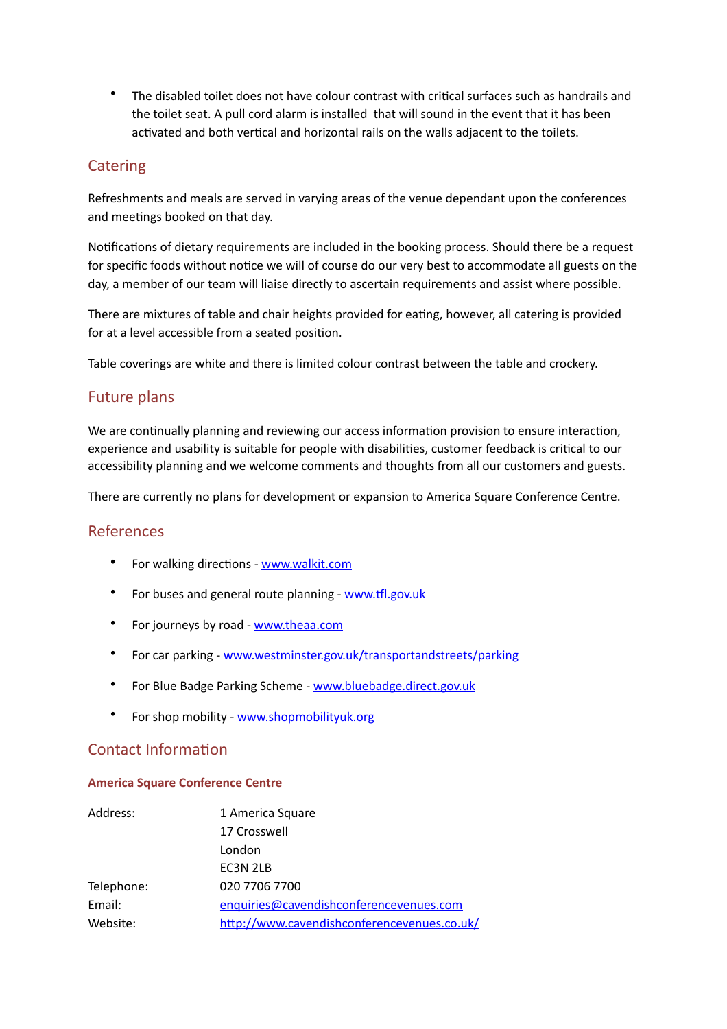• The disabled toilet does not have colour contrast with critical surfaces such as handrails and the toilet seat. A pull cord alarm is installed that will sound in the event that it has been activated and both vertical and horizontal rails on the walls adjacent to the toilets.

## **Catering**

Refreshments and meals are served in varving areas of the venue dependant upon the conferences and meetings booked on that day.

Notifications of dietary requirements are included in the booking process. Should there be a request for specific foods without notice we will of course do our very best to accommodate all guests on the day, a member of our team will liaise directly to ascertain requirements and assist where possible.

There are mixtures of table and chair heights provided for eating, however, all catering is provided for at a level accessible from a seated position.

Table coverings are white and there is limited colour contrast between the table and crockery.

## **Future plans**

We are continually planning and reviewing our access information provision to ensure interaction, experience and usability is suitable for people with disabilities, customer feedback is critical to our accessibility planning and we welcome comments and thoughts from all our customers and guests.

There are currently no plans for development or expansion to America Square Conference Centre.

### References

- For walking directions [www.walkit.com](http://www.walkit.com)
- For buses and general route planning www.tfl.gov.uk
- For journeys by road [www.theaa.com](http://www.theaa.com)
- For car parking [www.westminster.gov.uk/transportandstreets/parking](http://www.westminster.gov.uk/transportandstreets/parking)
- For Blue Badge Parking Scheme www.bluebadge.direct.gov.uk
- For shop mobility www.shopmobilityuk.org

## Contact Information

#### **America Square Conference Centre**

| Address:   | 1 America Square                            |
|------------|---------------------------------------------|
|            | 17 Crosswell                                |
|            | London                                      |
|            | EC3N 2LB                                    |
| Telephone: | 020 7706 7700                               |
| Email:     | enquiries@cavendishconferencevenues.com     |
| Website:   | http://www.cavendishconferencevenues.co.uk/ |